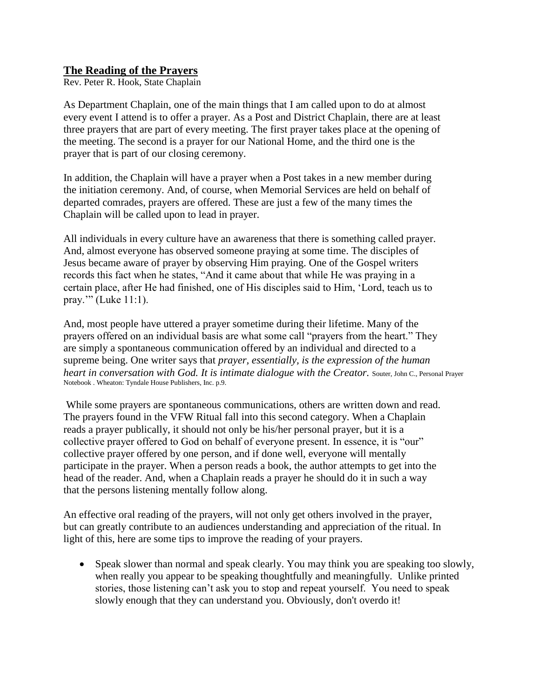## **The Reading of the Prayers**

Rev. Peter R. Hook, State Chaplain

As Department Chaplain, one of the main things that I am called upon to do at almost every event I attend is to offer a prayer. As a Post and District Chaplain, there are at least three prayers that are part of every meeting. The first prayer takes place at the opening of the meeting. The second is a prayer for our National Home, and the third one is the prayer that is part of our closing ceremony.

In addition, the Chaplain will have a prayer when a Post takes in a new member during the initiation ceremony. And, of course, when Memorial Services are held on behalf of departed comrades, prayers are offered. These are just a few of the many times the Chaplain will be called upon to lead in prayer.

All individuals in every culture have an awareness that there is something called prayer. And, almost everyone has observed someone praying at some time. The disciples of Jesus became aware of prayer by observing Him praying. One of the Gospel writers records this fact when he states, "And it came about that while He was praying in a certain place, after He had finished, one of His disciples said to Him, 'Lord, teach us to pray.'" (Luke 11:1).

And, most people have uttered a prayer sometime during their lifetime. Many of the prayers offered on an individual basis are what some call "prayers from the heart." They are simply a spontaneous communication offered by an individual and directed to a supreme being. One writer says that *prayer, essentially, is the expression of the human heart in conversation with God. It is intimate dialogue with the Creator.* Souter, John C., Personal Prayer Notebook . Wheaton: Tyndale House Publishers, Inc. p.9.

While some prayers are spontaneous communications, others are written down and read. The prayers found in the VFW Ritual fall into this second category. When a Chaplain reads a prayer publically, it should not only be his/her personal prayer, but it is a collective prayer offered to God on behalf of everyone present. In essence, it is "our" collective prayer offered by one person, and if done well, everyone will mentally participate in the prayer. When a person reads a book, the author attempts to get into the head of the reader. And, when a Chaplain reads a prayer he should do it in such a way that the persons listening mentally follow along.

An effective oral reading of the prayers, will not only get others involved in the prayer, but can greatly contribute to an audiences understanding and appreciation of the ritual. In light of this, here are some tips to improve the reading of your prayers.

• Speak slower than normal and speak clearly. You may think you are speaking too slowly, when really you appear to be speaking thoughtfully and meaningfully. Unlike printed stories, those listening can't ask you to stop and repeat yourself. You need to speak slowly enough that they can understand you. Obviously, don't overdo it!